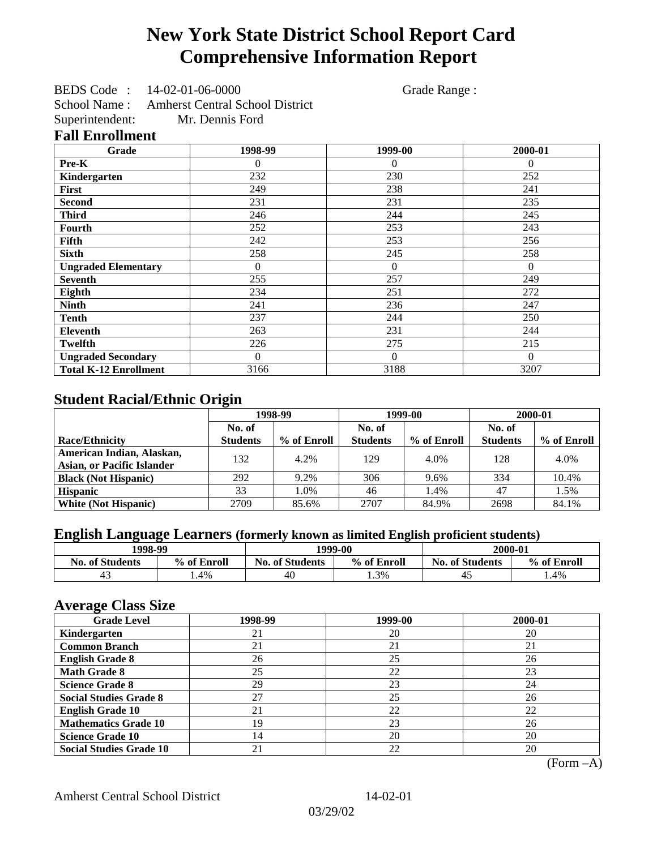# **New York State District School Report Card Comprehensive Information Report**

BEDS Code : 14-02-01-06-0000 Grade Range :

School Name : Amherst Central School District Superintendent: Mr. Dennis Ford

### **Fall Enrollment**

| Grade                        | 1998-99      | 1999-00        | 2000-01  |
|------------------------------|--------------|----------------|----------|
| Pre-K                        | $\Omega$     | $\theta$       | $\theta$ |
| Kindergarten                 | 232          | 230            | 252      |
| First                        | 249          | 238            | 241      |
| <b>Second</b>                | 231          | 231            | 235      |
| <b>Third</b>                 | 246          | 244            | 245      |
| Fourth                       | 252          | 253            | 243      |
| Fifth                        | 242          | 253            | 256      |
| <b>Sixth</b>                 | 258          | 245            | 258      |
| <b>Ungraded Elementary</b>   | $\mathbf{0}$ | $\overline{0}$ | $\Omega$ |
| <b>Seventh</b>               | 255          | 257            | 249      |
| Eighth                       | 234          | 251            | 272      |
| <b>Ninth</b>                 | 241          | 236            | 247      |
| <b>Tenth</b>                 | 237          | 244            | 250      |
| <b>Eleventh</b>              | 263          | 231            | 244      |
| <b>Twelfth</b>               | 226          | 275            | 215      |
| <b>Ungraded Secondary</b>    | $\theta$     | $\theta$       | $\Omega$ |
| <b>Total K-12 Enrollment</b> | 3166         | 3188           | 3207     |

## **Student Racial/Ethnic Origin**

|                                   | 1998-99         |             | 1999-00         |             | 2000-01         |             |
|-----------------------------------|-----------------|-------------|-----------------|-------------|-----------------|-------------|
|                                   | No. of          |             | No. of          |             | No. of          |             |
| <b>Race/Ethnicity</b>             | <b>Students</b> | % of Enroll | <b>Students</b> | % of Enroll | <b>Students</b> | % of Enroll |
| American Indian, Alaskan,         | 132             | 4.2%        | 129             | 4.0%        | 128             | 4.0%        |
| <b>Asian, or Pacific Islander</b> |                 |             |                 |             |                 |             |
| <b>Black (Not Hispanic)</b>       | 292             | 9.2%        | 306             | 9.6%        | 334             | 10.4%       |
| <b>Hispanic</b>                   | 33              | 1.0%        | 46              | 1.4%        | 47              | 1.5%        |
| <b>White (Not Hispanic)</b>       | 2709            | 85.6%       | 2707            | 84.9%       | 2698            | 84.1%       |

### **English Language Learners (formerly known as limited English proficient students)**

| 1998-99                |             |                        | 1999-00     | 2000-01                |             |
|------------------------|-------------|------------------------|-------------|------------------------|-------------|
| <b>No. of Students</b> | % of Enroll | <b>No. of Students</b> | % of Enroll | <b>No. of Students</b> | % of Enroll |
| -4.                    | . .4%       | 40                     | 1.3%        |                        | . 4%        |

### **Average Class Size**

| <b>Grade Level</b>             | 1998-99 | 1999-00 | 2000-01 |
|--------------------------------|---------|---------|---------|
| Kindergarten                   | 21      | 20      | 20      |
| <b>Common Branch</b>           | 21      | 21      | 21      |
| <b>English Grade 8</b>         | 26      | 25      | 26      |
| <b>Math Grade 8</b>            | 25      | 22      | 23      |
| <b>Science Grade 8</b>         | 29      | 23      | 24      |
| <b>Social Studies Grade 8</b>  | 27      | 25      | 26      |
| <b>English Grade 10</b>        | 21      | 22      | 22      |
| <b>Mathematics Grade 10</b>    | 19      | 23      | 26      |
| <b>Science Grade 10</b>        | 14      | 20      | 20      |
| <b>Social Studies Grade 10</b> | 21      | 22      | 20      |

(Form –A)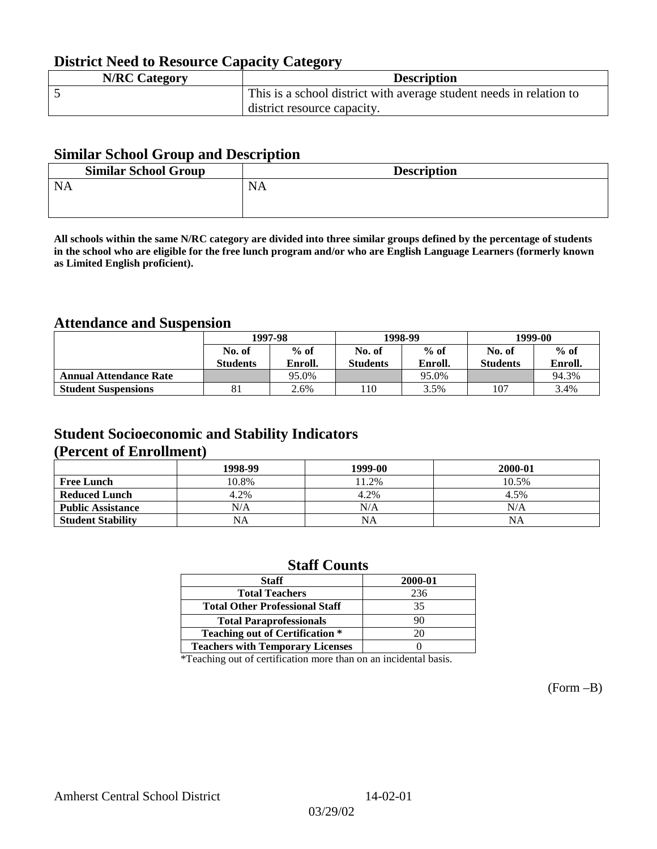## **District Need to Resource Capacity Category**

| <b>N/RC Category</b> | <b>Description</b>                                                  |
|----------------------|---------------------------------------------------------------------|
|                      | This is a school district with average student needs in relation to |
|                      | district resource capacity.                                         |

### **Similar School Group and Description**

| <b>Similar School Group</b> | <b>Description</b> |
|-----------------------------|--------------------|
| <b>NA</b>                   | <b>NA</b>          |
|                             |                    |

**All schools within the same N/RC category are divided into three similar groups defined by the percentage of students in the school who are eligible for the free lunch program and/or who are English Language Learners (formerly known as Limited English proficient).**

## **Attendance and Suspension**

|                               | 1997-98         |         |                 | 1998-99 | 1999-00         |         |
|-------------------------------|-----------------|---------|-----------------|---------|-----------------|---------|
|                               | No. of          | $%$ of  | No. of          | $%$ of  | No. of          | $%$ of  |
|                               | <b>Students</b> | Enroll. | <b>Students</b> | Enroll. | <b>Students</b> | Enroll. |
| <b>Annual Attendance Rate</b> |                 | 95.0%   |                 | 95.0%   |                 | 94.3%   |
| <b>Student Suspensions</b>    | 81              | 2.6%    | 10              | 3.5%    | 107             | 3.4%    |

### **Student Socioeconomic and Stability Indicators (Percent of Enrollment)**

|                          | 1998-99 | 1999-00 | 2000-01 |
|--------------------------|---------|---------|---------|
| <b>Free Lunch</b>        | 10.8%   | 11.2%   | 10.5%   |
| <b>Reduced Lunch</b>     | 4.2%    | 4.2%    | 4.5%    |
| <b>Public Assistance</b> | N/A     | N/A     | N/A     |
| <b>Student Stability</b> | NA      | NA      | NA      |

### **Staff Counts**

| 2000-01 |
|---------|
| 236     |
| 35      |
| 90      |
| 20      |
|         |
|         |

\*Teaching out of certification more than on an incidental basis.

(Form –B)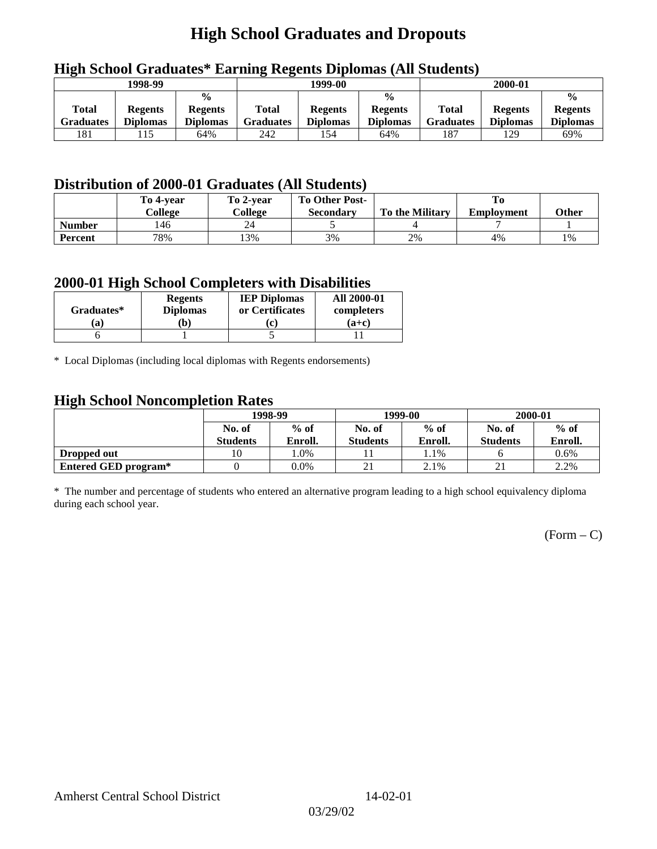# **High School Graduates and Dropouts**

|                           | 1998-99                           |                                                    | 1999-00                   |                                   |                                                    | 2000-01                          |                                   |                                                    |
|---------------------------|-----------------------------------|----------------------------------------------------|---------------------------|-----------------------------------|----------------------------------------------------|----------------------------------|-----------------------------------|----------------------------------------------------|
| <b>Total</b><br>Graduates | <b>Regents</b><br><b>Diplomas</b> | $\frac{0}{0}$<br><b>Regents</b><br><b>Diplomas</b> | Total<br><b>Graduates</b> | <b>Regents</b><br><b>Diplomas</b> | $\frac{6}{6}$<br><b>Regents</b><br><b>Diplomas</b> | <b>Total</b><br><b>Graduates</b> | <b>Regents</b><br><b>Diplomas</b> | $\frac{0}{0}$<br><b>Regents</b><br><b>Diplomas</b> |
| 181                       | 115                               | 64%                                                | 242                       | 154                               | 64%                                                | 187                              | 129                               | 69%                                                |

## **High School Graduates\* Earning Regents Diplomas (All Students)**

## **Distribution of 2000-01 Graduates (All Students)**

|                | To 4-vear<br>College | To 2-year<br>College | <b>To Other Post-</b><br>Secondary | <b>To the Military</b> | <b>Employment</b> | <b>Other</b> |
|----------------|----------------------|----------------------|------------------------------------|------------------------|-------------------|--------------|
| <b>Number</b>  | 146                  | 24                   |                                    |                        |                   |              |
| <b>Percent</b> | 78%                  | 13%                  | 3%                                 | 2%                     | 4%                | 1%           |

### **2000-01 High School Completers with Disabilities**

| Graduates* | <b>Regents</b><br><b>Diplomas</b> | <b>IEP Diplomas</b><br>or Certificates | <b>All 2000-01</b><br>completers |
|------------|-----------------------------------|----------------------------------------|----------------------------------|
| 'a         | b)                                |                                        | $(a+c)$                          |
|            |                                   |                                        |                                  |

\* Local Diplomas (including local diplomas with Regents endorsements)

### **High School Noncompletion Rates**

| ັ                    | 1998-99         |         |                 | 1999-00 | 2000-01         |         |
|----------------------|-----------------|---------|-----------------|---------|-----------------|---------|
|                      | No. of          | $%$ of  | No. of          | $%$ of  | No. of          | $%$ of  |
|                      | <b>Students</b> | Enroll. | <b>Students</b> | Enroll. | <b>Students</b> | Enroll. |
| Dropped out          | 10              | l.0%    |                 | 1.1%    |                 | $0.6\%$ |
| Entered GED program* |                 | $0.0\%$ | $\sim$ 1        | 2.1%    |                 | 2.2%    |

\* The number and percentage of students who entered an alternative program leading to a high school equivalency diploma during each school year.

 $(Form - C)$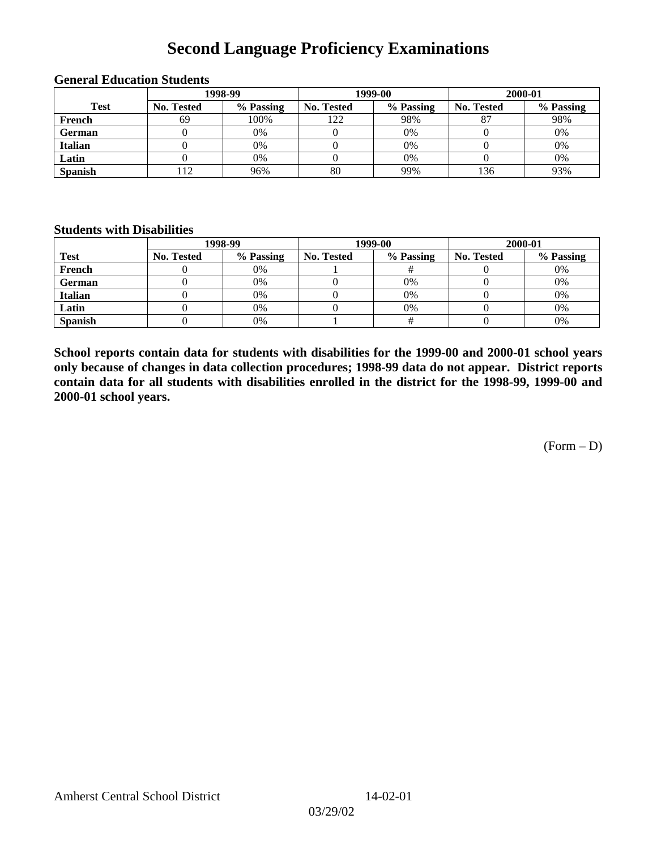## **Second Language Proficiency Examinations**

|                | 1998-99    |           |            | 1999-00   | 2000-01           |           |  |
|----------------|------------|-----------|------------|-----------|-------------------|-----------|--|
| <b>Test</b>    | No. Tested | % Passing | No. Tested | % Passing | <b>No. Tested</b> | % Passing |  |
| French         | 69         | 100%      | 122        | 98%       | $\circ$           | 98%       |  |
| <b>German</b>  |            | 0%        |            | 0%        |                   | 0%        |  |
| <b>Italian</b> |            | 0%        |            | $0\%$     |                   | 0%        |  |
| Latin          |            | 0%        |            | 0%        |                   | 0%        |  |
| <b>Spanish</b> | 12         | 96%       | 80         | 99%       | 136               | 93%       |  |

#### **General Education Students**

### **Students with Disabilities**

|                | 1998-99    |           |                   | 1999-00   | 2000-01    |           |  |
|----------------|------------|-----------|-------------------|-----------|------------|-----------|--|
| <b>Test</b>    | No. Tested | % Passing | <b>No. Tested</b> | % Passing | No. Tested | % Passing |  |
| French         |            | 0%        |                   |           |            | 0%        |  |
| <b>German</b>  |            | 0%        |                   | 0%        |            | 0%        |  |
| Italian        |            | 0%        |                   | 0%        |            | 0%        |  |
| Latin          |            | 0%        |                   | 0%        |            | 0%        |  |
| <b>Spanish</b> |            | 0%        |                   |           |            | 0%        |  |

**School reports contain data for students with disabilities for the 1999-00 and 2000-01 school years only because of changes in data collection procedures; 1998-99 data do not appear. District reports contain data for all students with disabilities enrolled in the district for the 1998-99, 1999-00 and 2000-01 school years.**

(Form – D)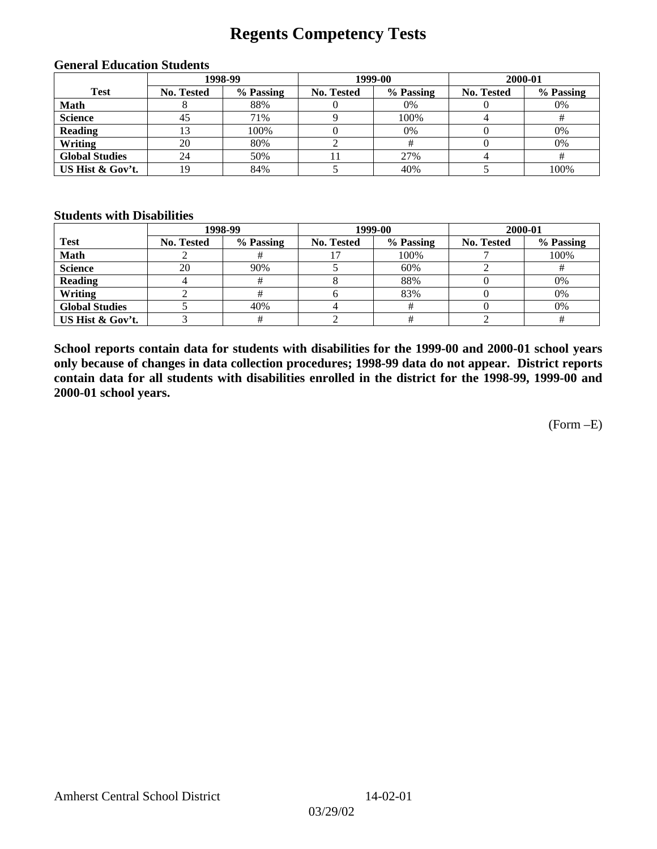## **Regents Competency Tests**

|                       | 1998-99           |           |            | 1999-00   | 2000-01    |           |  |
|-----------------------|-------------------|-----------|------------|-----------|------------|-----------|--|
| <b>Test</b>           | <b>No. Tested</b> | % Passing | No. Tested | % Passing | No. Tested | % Passing |  |
| <b>Math</b>           |                   | 88%       |            | 0%        |            | 0%        |  |
| <b>Science</b>        | 45                | 71%       |            | 100%      |            |           |  |
| <b>Reading</b>        |                   | 100%      |            | 0%        |            | 0%        |  |
| Writing               | 20                | 80%       |            |           |            | 0%        |  |
| <b>Global Studies</b> | 24                | 50%       |            | 27%       |            |           |  |
| US Hist & Gov't.      | 19                | 84%       |            | 40%       |            | 100%      |  |

#### **General Education Students**

#### **Students with Disabilities**

|                       |                   | 1998-99   | 1999-00    |           | 2000-01           |           |
|-----------------------|-------------------|-----------|------------|-----------|-------------------|-----------|
| <b>Test</b>           | <b>No. Tested</b> | % Passing | No. Tested | % Passing | <b>No. Tested</b> | % Passing |
| <b>Math</b>           |                   |           |            | 100%      |                   | 100%      |
| <b>Science</b>        | 20                | 90%       |            | 60%       |                   |           |
| <b>Reading</b>        |                   | #         |            | 88%       |                   | 0%        |
| Writing               |                   |           |            | 83%       |                   | 0%        |
| <b>Global Studies</b> |                   | 40%       |            |           |                   | 0%        |
| US Hist & Gov't.      |                   |           |            |           |                   |           |

**School reports contain data for students with disabilities for the 1999-00 and 2000-01 school years only because of changes in data collection procedures; 1998-99 data do not appear. District reports contain data for all students with disabilities enrolled in the district for the 1998-99, 1999-00 and 2000-01 school years.**

(Form –E)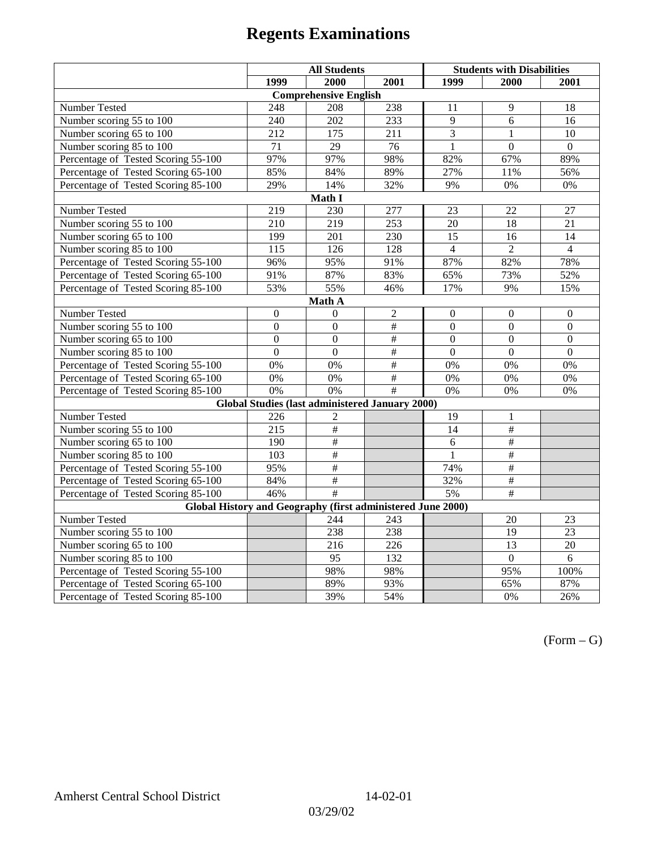|                                                             | <b>All Students</b> |                                                        |                 | <b>Students with Disabilities</b> |                  |                  |  |  |
|-------------------------------------------------------------|---------------------|--------------------------------------------------------|-----------------|-----------------------------------|------------------|------------------|--|--|
|                                                             | 1999                | 2000                                                   | 2001            | 1999                              | 2000             | 2001             |  |  |
|                                                             |                     | <b>Comprehensive English</b>                           |                 |                                   |                  |                  |  |  |
| Number Tested                                               | 248                 | 208                                                    | 238             | 11                                | 9                | 18               |  |  |
| Number scoring 55 to 100                                    | 240                 | 202                                                    | 233             | 9                                 | 6                | 16               |  |  |
| Number scoring 65 to 100                                    | 212                 | 175                                                    | 211             | 3                                 | $\mathbf{1}$     | 10               |  |  |
| Number scoring 85 to 100                                    | 71                  | 29                                                     | 76              | $\mathbf{1}$                      | $\overline{0}$   | $\Omega$         |  |  |
| Percentage of Tested Scoring 55-100                         | 97%                 | 97%                                                    | 98%             | 82%                               | 67%              | 89%              |  |  |
| Percentage of Tested Scoring 65-100                         | 85%                 | 84%                                                    | 89%             | 27%                               | 11%              | 56%              |  |  |
| Percentage of Tested Scoring 85-100                         | 29%                 | 14%                                                    | 32%             | 9%                                | 0%               | $0\%$            |  |  |
|                                                             |                     | Math I                                                 |                 |                                   |                  |                  |  |  |
| Number Tested                                               | 219                 | 230                                                    | 277             | 23                                | 22               | 27               |  |  |
| Number scoring 55 to 100                                    | 210                 | 219                                                    | 253             | 20                                | 18               | 21               |  |  |
| Number scoring 65 to 100                                    | 199                 | 201                                                    | 230             | 15                                | 16               | 14               |  |  |
| Number scoring 85 to 100                                    | $\overline{115}$    | 126                                                    | 128             | $\overline{4}$                    | $\overline{2}$   | $\overline{4}$   |  |  |
| Percentage of Tested Scoring 55-100                         | 96%                 | 95%                                                    | 91%             | 87%                               | 82%              | 78%              |  |  |
| Percentage of Tested Scoring 65-100                         | 91%                 | 87%                                                    | 83%             | 65%                               | 73%              | 52%              |  |  |
| Percentage of Tested Scoring 85-100                         | 53%                 | 55%                                                    | 46%             | 17%                               | 9%               | 15%              |  |  |
| Math A                                                      |                     |                                                        |                 |                                   |                  |                  |  |  |
| Number Tested                                               | $\boldsymbol{0}$    | $\mathbf{0}$                                           | $\overline{2}$  | $\overline{0}$                    | $\mathbf{0}$     | $\boldsymbol{0}$ |  |  |
| Number scoring 55 to 100                                    | $\overline{0}$      | $\overline{0}$                                         | $\overline{\#}$ | $\overline{0}$                    | $\overline{0}$   | $\overline{0}$   |  |  |
| Number scoring 65 to 100                                    | $\mathbf{0}$        | $\mathbf{0}$                                           | #               | $\boldsymbol{0}$                  | $\boldsymbol{0}$ | $\boldsymbol{0}$ |  |  |
| Number scoring 85 to 100                                    | $\overline{0}$      | $\overline{0}$                                         | #               | $\mathbf{0}$                      | $\mathbf{0}$     | $\boldsymbol{0}$ |  |  |
| Percentage of Tested Scoring 55-100                         | 0%                  | 0%                                                     | #               | 0%                                | 0%               | 0%               |  |  |
| Percentage of Tested Scoring 65-100                         | 0%                  | 0%                                                     | $\frac{1}{2}$   | 0%                                | 0%               | 0%               |  |  |
| Percentage of Tested Scoring 85-100                         | 0%                  | 0%                                                     | #               | 0%                                | 0%               | $0\%$            |  |  |
|                                                             |                     | <b>Global Studies (last administered January 2000)</b> |                 |                                   |                  |                  |  |  |
| Number Tested                                               | 226                 | $\overline{2}$                                         |                 | 19                                | $\mathbf{1}$     |                  |  |  |
| Number scoring 55 to 100                                    | $\overline{215}$    | $\overline{\#}$                                        |                 | 14                                | $\overline{\#}$  |                  |  |  |
| Number scoring 65 to 100                                    | 190                 | $\frac{1}{2}$                                          |                 | 6                                 | $\#$             |                  |  |  |
| Number scoring 85 to 100                                    | 103                 | $\#$                                                   |                 | 1                                 | #                |                  |  |  |
| Percentage of Tested Scoring 55-100                         | 95%                 | $\#$                                                   |                 | 74%                               | $\overline{\#}$  |                  |  |  |
| Percentage of Tested Scoring 65-100                         | 84%                 | $\frac{1}{2}$                                          |                 | 32%                               | #                |                  |  |  |
| Percentage of Tested Scoring 85-100                         | 46%                 | #                                                      |                 | 5%                                | #                |                  |  |  |
| Global History and Geography (first administered June 2000) |                     |                                                        |                 |                                   |                  |                  |  |  |
| Number Tested                                               |                     | 244                                                    | 243             |                                   | 20               | 23               |  |  |
| Number scoring 55 to 100                                    |                     | 238                                                    | 238             |                                   | $\overline{19}$  | $\overline{23}$  |  |  |
| Number scoring 65 to 100                                    |                     | 216                                                    | 226             |                                   | $\overline{13}$  | 20               |  |  |
| Number scoring 85 to 100                                    |                     | 95                                                     | 132             |                                   | $\overline{0}$   | 6                |  |  |
| Percentage of Tested Scoring 55-100                         |                     | 98%                                                    | 98%             |                                   | 95%              | 100%             |  |  |
| Percentage of Tested Scoring 65-100                         |                     | 89%                                                    | 93%             |                                   | 65%              | 87%              |  |  |
| Percentage of Tested Scoring 85-100                         |                     | 39%                                                    | 54%             |                                   | 0%               | 26%              |  |  |

 $(Form - G)$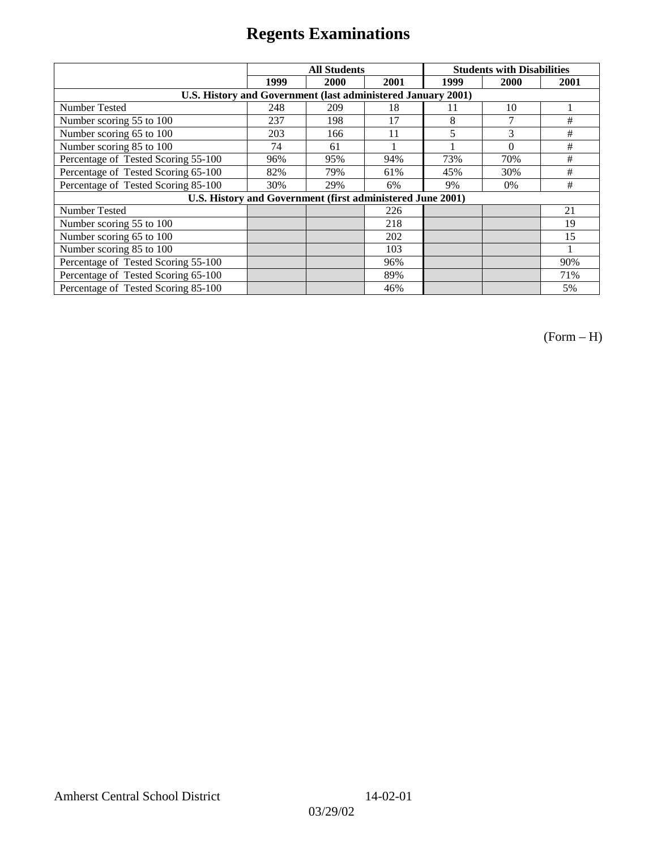|                                                              | <b>All Students</b> |      |      | <b>Students with Disabilities</b> |          |      |
|--------------------------------------------------------------|---------------------|------|------|-----------------------------------|----------|------|
|                                                              | 1999                | 2000 | 2001 | 1999                              | 2000     | 2001 |
| U.S. History and Government (last administered January 2001) |                     |      |      |                                   |          |      |
| Number Tested                                                | 248                 | 209  | 18   | 11                                | 10       |      |
| Number scoring 55 to 100                                     | 237                 | 198  | 17   | 8                                 | 7        | #    |
| Number scoring 65 to 100                                     | 203                 | 166  | 11   | 5                                 | 3        | #    |
| Number scoring 85 to 100                                     | 74                  | 61   |      |                                   | $\theta$ | #    |
| Percentage of Tested Scoring 55-100                          | 96%                 | 95%  | 94%  | 73%                               | 70%      | #    |
| Percentage of Tested Scoring 65-100                          | 82%                 | 79%  | 61%  | 45%                               | 30%      | #    |
| Percentage of Tested Scoring 85-100                          | 30%                 | 29%  | 6%   | 9%                                | $0\%$    | #    |
| U.S. History and Government (first administered June 2001)   |                     |      |      |                                   |          |      |
| Number Tested                                                |                     |      | 226  |                                   |          | 21   |
| Number scoring 55 to 100                                     |                     |      | 218  |                                   |          | 19   |
| Number scoring 65 to 100                                     |                     |      | 202  |                                   |          | 15   |
| Number scoring 85 to 100                                     |                     |      | 103  |                                   |          |      |
| Percentage of Tested Scoring 55-100                          |                     |      | 96%  |                                   |          | 90%  |
| Percentage of Tested Scoring 65-100                          |                     |      | 89%  |                                   |          | 71%  |
| Percentage of Tested Scoring 85-100                          |                     |      | 46%  |                                   |          | 5%   |

(Form – H)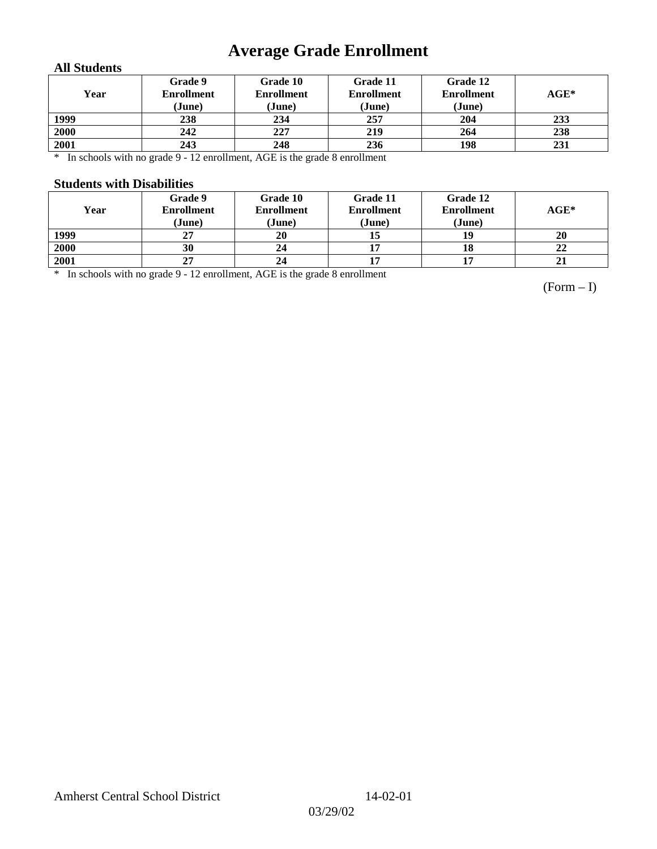# **Average Grade Enrollment**

### **All Students**

| Year | Grade 9<br><b>Enrollment</b><br>(June) | Grade 10<br><b>Enrollment</b><br>(June) | Grade 11<br><b>Enrollment</b><br>(June) | Grade 12<br><b>Enrollment</b><br>(June) | $AGE^*$ |
|------|----------------------------------------|-----------------------------------------|-----------------------------------------|-----------------------------------------|---------|
| 1999 | 238                                    | 234                                     | 257                                     | 204                                     | 233     |
| 2000 | 242                                    | 227                                     | 219                                     | 264                                     | 238     |
| 2001 | 243                                    | 248                                     | 236                                     | 198                                     | 231     |

\* In schools with no grade 9 - 12 enrollment, AGE is the grade 8 enrollment

#### **Students with Disabilities**

| Year | Grade 9<br><b>Enrollment</b><br>(June) | Grade 10<br><b>Enrollment</b><br>(June) | Grade 11<br><b>Enrollment</b><br>(June) | Grade 12<br><b>Enrollment</b><br>(June) | $AGE^*$ |
|------|----------------------------------------|-----------------------------------------|-----------------------------------------|-----------------------------------------|---------|
| 1999 | 27                                     | 20                                      |                                         | 19                                      | 20      |
| 2000 | 30                                     | 24                                      |                                         | 18                                      | 22      |
| 2001 | 27                                     | 24                                      |                                         |                                         | 21      |

\* In schools with no grade 9 - 12 enrollment, AGE is the grade 8 enrollment

(Form – I)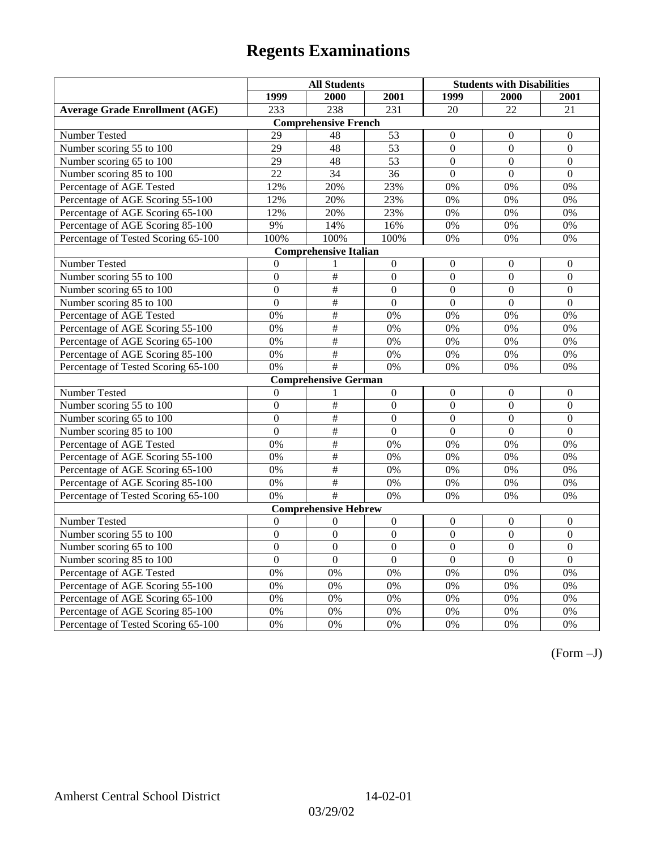|                                       | <b>All Students</b> |                              |                  | <b>Students with Disabilities</b> |                  |                  |
|---------------------------------------|---------------------|------------------------------|------------------|-----------------------------------|------------------|------------------|
|                                       | 1999                | 2000                         | 2001             | 1999                              | 2000             | 2001             |
| <b>Average Grade Enrollment (AGE)</b> | 233                 | 238                          | 231              | 20                                | $\overline{22}$  | 21               |
|                                       |                     | <b>Comprehensive French</b>  |                  |                                   |                  |                  |
| <b>Number Tested</b>                  | 29                  | 48                           | 53               | $\mathbf{0}$                      | $\theta$         | $\mathbf{0}$     |
| Number scoring 55 to 100              | $\overline{29}$     | 48                           | $\overline{53}$  | $\theta$                          | $\Omega$         | $\mathbf{0}$     |
| Number scoring 65 to 100              | 29                  | 48                           | 53               | $\overline{0}$                    | $\mathbf{0}$     | $\mathbf{0}$     |
| Number scoring 85 to 100              | 22                  | 34                           | 36               | $\overline{0}$                    | $\mathbf{0}$     | $\mathbf{0}$     |
| Percentage of AGE Tested              | 12%                 | 20%                          | 23%              | 0%                                | 0%               | 0%               |
| Percentage of AGE Scoring 55-100      | 12%                 | 20%                          | 23%              | 0%                                | 0%               | 0%               |
| Percentage of AGE Scoring 65-100      | 12%                 | 20%                          | 23%              | 0%                                | 0%               | 0%               |
| Percentage of AGE Scoring 85-100      | 9%                  | 14%                          | 16%              | 0%                                | 0%               | 0%               |
| Percentage of Tested Scoring 65-100   | 100%                | 100%                         | 100%             | 0%                                | 0%               | 0%               |
|                                       |                     | <b>Comprehensive Italian</b> |                  |                                   |                  |                  |
| Number Tested                         | $\theta$            |                              | $\mathbf{0}$     | $\overline{0}$                    | $\mathbf{0}$     | $\theta$         |
| Number scoring 55 to 100              | $\boldsymbol{0}$    | $\frac{1}{2}$                | $\Omega$         | $\overline{0}$                    | $\overline{0}$   | $\boldsymbol{0}$ |
| Number scoring 65 to 100              | $\mathbf{0}$        | $\overline{\#}$              | $\mathbf{0}$     | $\overline{0}$                    | $\overline{0}$   | $\mathbf{0}$     |
| Number scoring 85 to 100              | $\overline{0}$      | $\#$                         | $\overline{0}$   | $\overline{0}$                    | $\overline{0}$   | $\mathbf{0}$     |
| Percentage of AGE Tested              | 0%                  | $\overline{+}$               | 0%               | 0%                                | 0%               | 0%               |
| Percentage of AGE Scoring 55-100      | 0%                  | $\#$                         | 0%               | 0%                                | 0%               | 0%               |
| Percentage of AGE Scoring 65-100      | 0%                  | $\overline{\#}$              | 0%               | 0%                                | 0%               | 0%               |
| Percentage of AGE Scoring 85-100      | 0%                  | $\frac{1}{2}$                | 0%               | 0%                                | 0%               | 0%               |
| Percentage of Tested Scoring 65-100   | 0%                  | $\overline{\#}$              | 0%               | 0%                                | 0%               | 0%               |
|                                       |                     | <b>Comprehensive German</b>  |                  |                                   |                  |                  |
| Number Tested                         | $\mathbf{0}$        |                              | $\boldsymbol{0}$ | $\overline{0}$                    | $\mathbf{0}$     | $\mathbf{0}$     |
| Number scoring 55 to 100              | $\mathbf{0}$        | $\#$                         | $\mathbf{0}$     | $\overline{0}$                    | $\overline{0}$   | $\boldsymbol{0}$ |
| Number scoring 65 to 100              | $\overline{0}$      | $\overline{\#}$              | $\mathbf{0}$     | $\overline{0}$                    | $\mathbf{0}$     | $\boldsymbol{0}$ |
| Number scoring 85 to 100              | $\overline{0}$      | $\#$                         | $\overline{0}$   | $\overline{0}$                    | $\overline{0}$   | $\overline{0}$   |
| Percentage of AGE Tested              | 0%                  | $\#$                         | 0%               | 0%                                | 0%               | 0%               |
| Percentage of AGE Scoring 55-100      | 0%                  | $\#$                         | 0%               | 0%                                | 0%               | 0%               |
| Percentage of AGE Scoring 65-100      | 0%                  | $\overline{\#}$              | 0%               | 0%                                | 0%               | 0%               |
| Percentage of AGE Scoring 85-100      | 0%                  | $\#$                         | 0%               | 0%                                | 0%               | 0%               |
| Percentage of Tested Scoring 65-100   | 0%                  | #                            | 0%               | 0%                                | 0%               | 0%               |
|                                       |                     | <b>Comprehensive Hebrew</b>  |                  |                                   |                  |                  |
| Number Tested                         | $\boldsymbol{0}$    | $\theta$                     | $\boldsymbol{0}$ | $\boldsymbol{0}$                  | $\boldsymbol{0}$ | $\boldsymbol{0}$ |
| Number scoring 55 to 100              | $\boldsymbol{0}$    | $\mathbf{0}$                 | $\overline{0}$   | $\overline{0}$                    | $\mathbf{0}$     | $\mathbf{0}$     |
| Number scoring 65 to 100              | $\boldsymbol{0}$    | $\mathbf{0}$                 | $\overline{0}$   | $\overline{0}$                    | $\mathbf{0}$     | $\mathbf{0}$     |
| Number scoring 85 to 100              | $\overline{0}$      | $\overline{0}$               | $\overline{0}$   | $\overline{0}$                    | $\mathbf{0}$     | $\mathbf{0}$     |
| Percentage of AGE Tested              | 0%                  | 0%                           | 0%               | 0%                                | 0%               | 0%               |
| Percentage of AGE Scoring 55-100      | 0%                  | 0%                           | 0%               | 0%                                | 0%               | 0%               |
| Percentage of AGE Scoring 65-100      | 0%                  | 0%                           | 0%               | 0%                                | 0%               | 0%               |
| Percentage of AGE Scoring 85-100      | 0%                  | 0%                           | 0%               | $0\%$                             | 0%               | 0%               |
| Percentage of Tested Scoring 65-100   | 0%                  | 0%                           | 0%               | 0%                                | 0%               | 0%               |

(Form –J)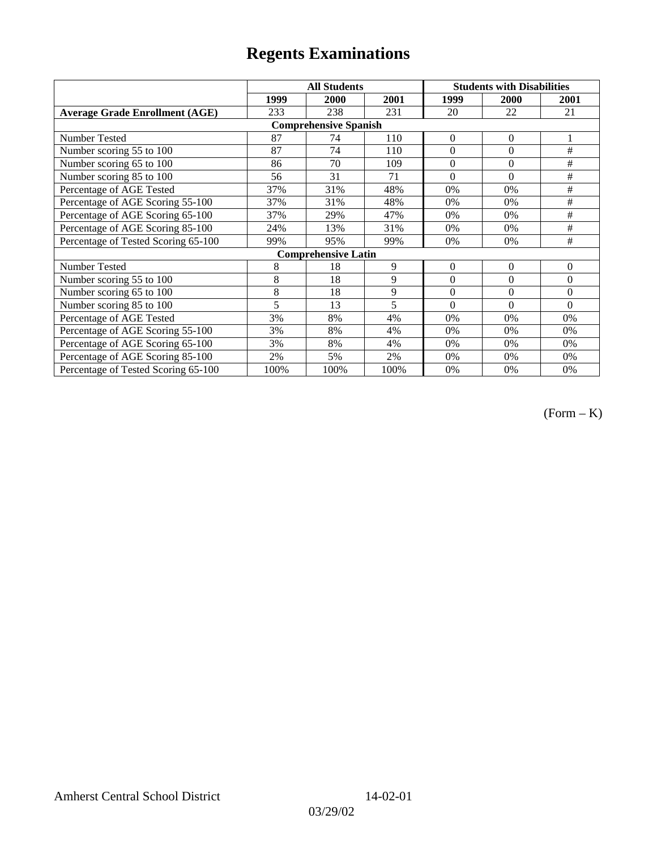|                                       |      | <b>All Students</b>        |      | <b>Students with Disabilities</b> |                |          |  |  |
|---------------------------------------|------|----------------------------|------|-----------------------------------|----------------|----------|--|--|
|                                       | 1999 | 2000                       | 2001 | 1999                              | 2000           | 2001     |  |  |
| <b>Average Grade Enrollment (AGE)</b> | 233  | 238                        | 231  | 20                                | 22             | 21       |  |  |
| <b>Comprehensive Spanish</b>          |      |                            |      |                                   |                |          |  |  |
| Number Tested                         | 87   | 74                         | 110  | $\overline{0}$                    | $\overline{0}$ |          |  |  |
| Number scoring 55 to 100              | 87   | 74                         | 110  | $\theta$                          | $\theta$       | #        |  |  |
| Number scoring 65 to 100              | 86   | 70                         | 109  | $\overline{0}$                    | $\overline{0}$ | #        |  |  |
| Number scoring 85 to 100              | 56   | 31                         | 71   | $\theta$                          | $\theta$       | #        |  |  |
| Percentage of AGE Tested              | 37%  | 31%                        | 48%  | 0%                                | 0%             | $\#$     |  |  |
| Percentage of AGE Scoring 55-100      | 37%  | 31%                        | 48%  | 0%                                | 0%             | $\#$     |  |  |
| Percentage of AGE Scoring 65-100      | 37%  | 29%                        | 47%  | 0%                                | 0%             | #        |  |  |
| Percentage of AGE Scoring 85-100      | 24%  | 13%                        | 31%  | 0%                                | 0%             | #        |  |  |
| Percentage of Tested Scoring 65-100   | 99%  | 95%                        | 99%  | 0%                                | 0%             | $\#$     |  |  |
|                                       |      | <b>Comprehensive Latin</b> |      |                                   |                |          |  |  |
| Number Tested                         | 8    | 18                         | 9    | $\Omega$                          | $\theta$       | $\theta$ |  |  |
| Number scoring 55 to 100              | 8    | 18                         | 9    | $\theta$                          | $\theta$       | $\Omega$ |  |  |
| Number scoring 65 to 100              | 8    | 18                         | 9    | $\boldsymbol{0}$                  | $\theta$       | $\Omega$ |  |  |
| Number scoring 85 to 100              | 5    | 13                         | 5    | $\theta$                          | $\theta$       | $\Omega$ |  |  |
| Percentage of AGE Tested              | 3%   | 8%                         | 4%   | 0%                                | 0%             | 0%       |  |  |
| Percentage of AGE Scoring 55-100      | 3%   | 8%                         | 4%   | 0%                                | 0%             | 0%       |  |  |
| Percentage of AGE Scoring 65-100      | 3%   | 8%                         | 4%   | 0%                                | 0%             | 0%       |  |  |
| Percentage of AGE Scoring 85-100      | 2%   | 5%                         | 2%   | 0%                                | 0%             | 0%       |  |  |
| Percentage of Tested Scoring 65-100   | 100% | 100%                       | 100% | $0\%$                             | 0%             | 0%       |  |  |

(Form – K)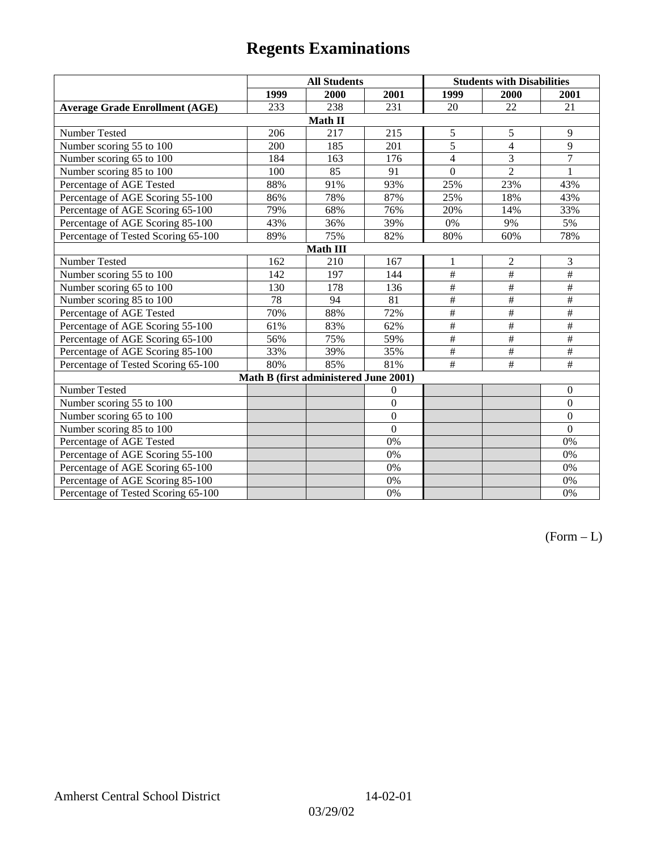|                                       |      | <b>All Students</b>                   |                |                 | <b>Students with Disabilities</b> |                          |  |  |
|---------------------------------------|------|---------------------------------------|----------------|-----------------|-----------------------------------|--------------------------|--|--|
|                                       | 1999 | 2000                                  | 2001           | 1999            | 2000                              | 2001                     |  |  |
| <b>Average Grade Enrollment (AGE)</b> | 233  | 238                                   | 231            | 20              | 22                                | 21                       |  |  |
|                                       |      | Math II                               |                |                 |                                   |                          |  |  |
| Number Tested                         | 206  | 217                                   | 215            | 5               | 5                                 | 9                        |  |  |
| Number scoring 55 to 100              | 200  | 185                                   | 201            | $\overline{5}$  | $\overline{4}$                    | $\overline{9}$           |  |  |
| Number scoring 65 to 100              | 184  | 163                                   | 176            | $\overline{4}$  | 3                                 | $\overline{7}$           |  |  |
| Number scoring 85 to 100              | 100  | 85                                    | 91             | $\theta$        | $\overline{2}$                    | 1                        |  |  |
| Percentage of AGE Tested              | 88%  | 91%                                   | 93%            | 25%             | 23%                               | 43%                      |  |  |
| Percentage of AGE Scoring 55-100      | 86%  | 78%                                   | 87%            | 25%             | 18%                               | 43%                      |  |  |
| Percentage of AGE Scoring 65-100      | 79%  | 68%                                   | 76%            | 20%             | 14%                               | 33%                      |  |  |
| Percentage of AGE Scoring 85-100      | 43%  | 36%                                   | 39%            | $0\%$           | 9%                                | 5%                       |  |  |
| Percentage of Tested Scoring 65-100   | 89%  | 75%                                   | 82%            | 80%             | 60%                               | 78%                      |  |  |
| <b>Math III</b>                       |      |                                       |                |                 |                                   |                          |  |  |
| Number Tested                         | 162  | 210                                   | 167            | 1               | $\mathbf{2}$                      | 3                        |  |  |
| Number scoring 55 to 100              | 142  | 197                                   | 144            | $\#$            | $\overline{\overline{}}$          | $\frac{1}{2}$            |  |  |
| Number scoring 65 to 100              | 130  | 178                                   | 136            | $\frac{1}{2}$   | $\#$                              | $\#$                     |  |  |
| Number scoring 85 to 100              | 78   | 94                                    | 81             | $\#$            | $\#$                              | $\#$                     |  |  |
| Percentage of AGE Tested              | 70%  | 88%                                   | 72%            | $\overline{\#}$ | $\overline{\overline{}}$          | $\#$                     |  |  |
| Percentage of AGE Scoring 55-100      | 61%  | 83%                                   | 62%            | $\frac{1}{2}$   | $\overline{\#}$                   | $\overline{\overline{}}$ |  |  |
| Percentage of AGE Scoring 65-100      | 56%  | 75%                                   | 59%            | $\frac{1}{2}$   | $\overline{\#}$                   | $\#$                     |  |  |
| Percentage of AGE Scoring 85-100      | 33%  | 39%                                   | 35%            | $\frac{1}{2}$   | $\#$                              | $\#$                     |  |  |
| Percentage of Tested Scoring 65-100   | 80%  | 85%                                   | 81%            | $\#$            | #                                 | $\#$                     |  |  |
|                                       |      | Math B (first administered June 2001) |                |                 |                                   |                          |  |  |
| Number Tested                         |      |                                       | $\theta$       |                 |                                   | $\boldsymbol{0}$         |  |  |
| Number scoring 55 to 100              |      |                                       | $\overline{0}$ |                 |                                   | $\boldsymbol{0}$         |  |  |
| Number scoring 65 to 100              |      |                                       | $\overline{0}$ |                 |                                   | $\mathbf{0}$             |  |  |
| Number scoring 85 to 100              |      |                                       | $\overline{0}$ |                 |                                   | $\mathbf{0}$             |  |  |
| Percentage of AGE Tested              |      |                                       | 0%             |                 |                                   | 0%                       |  |  |
| Percentage of AGE Scoring 55-100      |      |                                       | 0%             |                 |                                   | $0\%$                    |  |  |
| Percentage of AGE Scoring 65-100      |      |                                       | 0%             |                 |                                   | 0%                       |  |  |
| Percentage of AGE Scoring 85-100      |      |                                       | 0%             |                 |                                   | 0%                       |  |  |
| Percentage of Tested Scoring 65-100   |      |                                       | 0%             |                 |                                   | 0%                       |  |  |

 $(Form - L)$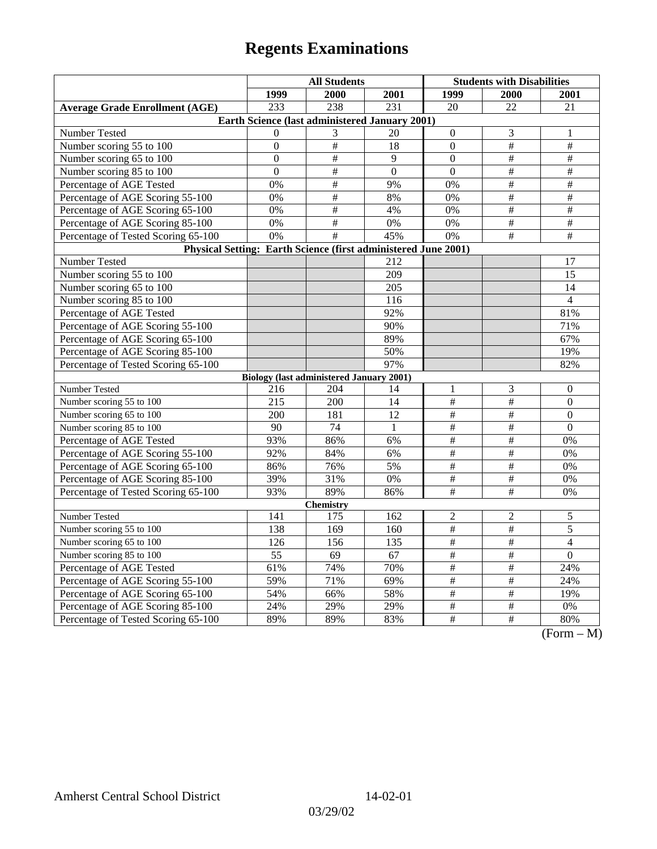|                                                                | <b>All Students</b> |                                                 |                  | <b>Students with Disabilities</b> |                      |                                                 |  |  |
|----------------------------------------------------------------|---------------------|-------------------------------------------------|------------------|-----------------------------------|----------------------|-------------------------------------------------|--|--|
|                                                                | 1999                | 2000                                            | 2001             | 1999                              | <b>2000</b>          | 2001                                            |  |  |
| <b>Average Grade Enrollment (AGE)</b>                          | 233                 | 238                                             | 231              | 20                                | 22                   | 21                                              |  |  |
| Earth Science (last administered January 2001)                 |                     |                                                 |                  |                                   |                      |                                                 |  |  |
| Number Tested                                                  | $\Omega$            | 3                                               | 20               | $\boldsymbol{0}$                  | 3                    | 1                                               |  |  |
| Number scoring 55 to 100                                       | $\boldsymbol{0}$    | $\#$                                            | 18               | $\overline{0}$                    | $\#$                 | $\#$                                            |  |  |
| Number scoring 65 to 100                                       | $\Omega$            | $\#$                                            | 9                | $\Omega$                          | #                    | $\#$                                            |  |  |
| Number scoring 85 to 100                                       | $\boldsymbol{0}$    | $\overline{\#}$                                 | $\overline{0}$   | $\mathbf{0}$                      | $\overline{\ddot{}}$ | $\#$                                            |  |  |
| Percentage of AGE Tested                                       | 0%                  | $\overline{\#}$                                 | 9%               | 0%                                | $\overline{\#}$      | $\#$                                            |  |  |
| Percentage of AGE Scoring 55-100                               | 0%                  | $\#$                                            | 8%               | 0%                                | $\#$                 | $\#$                                            |  |  |
| Percentage of AGE Scoring 65-100                               | 0%                  | $\#$                                            | 4%               | 0%                                | $\#$                 | $\#$                                            |  |  |
| Percentage of AGE Scoring 85-100                               | 0%                  | $\overline{\#}$                                 | 0%               | 0%                                | $\overline{\#}$      | $\overline{\#}$                                 |  |  |
| Percentage of Tested Scoring 65-100                            | $\overline{0\%}$    | $\overline{+}$                                  | 45%              | $\overline{0\%}$                  | $\overline{+}$       | $\overline{+}$                                  |  |  |
| Physical Setting: Earth Science (first administered June 2001) |                     |                                                 |                  |                                   |                      |                                                 |  |  |
| Number Tested                                                  |                     |                                                 | 212              |                                   |                      | 17                                              |  |  |
| Number scoring 55 to 100                                       |                     |                                                 | $\overline{209}$ |                                   |                      | $\overline{15}$                                 |  |  |
| Number scoring 65 to 100                                       |                     |                                                 | 205              |                                   |                      | 14                                              |  |  |
| Number scoring 85 to 100                                       |                     |                                                 | 116              |                                   |                      | $\overline{4}$                                  |  |  |
| Percentage of AGE Tested                                       |                     |                                                 | 92%              |                                   |                      | 81%                                             |  |  |
| Percentage of AGE Scoring 55-100                               |                     |                                                 | 90%              |                                   |                      | 71%                                             |  |  |
| Percentage of AGE Scoring 65-100                               |                     |                                                 | 89%              |                                   |                      | 67%                                             |  |  |
| Percentage of AGE Scoring 85-100                               |                     |                                                 | 50%              |                                   |                      | 19%                                             |  |  |
| Percentage of Tested Scoring 65-100                            |                     |                                                 | 97%              |                                   |                      | 82%                                             |  |  |
|                                                                |                     | <b>Biology (last administered January 2001)</b> |                  |                                   |                      |                                                 |  |  |
| Number Tested                                                  | 216                 | 204                                             | 14               | 1                                 | 3                    | $\boldsymbol{0}$                                |  |  |
| Number scoring 55 to 100                                       | 215                 | 200                                             | 14               | $\#$                              | $\#$                 | $\mathbf{0}$                                    |  |  |
| Number scoring 65 to 100                                       | 200                 | 181                                             | 12               | $\#$                              | $\#$                 | $\boldsymbol{0}$                                |  |  |
| Number scoring 85 to 100                                       | 90                  | 74                                              | $\mathbf{1}$     | $\overline{\#}$                   | $\overline{\ddot{}}$ | $\overline{0}$                                  |  |  |
| Percentage of AGE Tested                                       | 93%                 | 86%                                             | 6%               | $\overline{\#}$                   | $\overline{\ddot{}}$ | 0%                                              |  |  |
| Percentage of AGE Scoring 55-100                               | 92%                 | 84%                                             | 6%               | $\overline{\#}$                   | $\overline{\ddot{}}$ | 0%                                              |  |  |
| Percentage of AGE Scoring 65-100                               | 86%                 | 76%                                             | 5%               | $\#$                              | $\#$                 | 0%                                              |  |  |
| Percentage of AGE Scoring 85-100                               | 39%                 | 31%                                             | $0\%$            | $\#$                              | $\#$                 | 0%                                              |  |  |
| Percentage of Tested Scoring 65-100                            | 93%                 | 89%                                             | 86%              | $\overline{\#}$                   | $\overline{\#}$      | 0%                                              |  |  |
| <b>Chemistry</b>                                               |                     |                                                 |                  |                                   |                      |                                                 |  |  |
| Number Tested                                                  | 141                 | 175                                             | 162              | $\overline{c}$                    | $\overline{c}$       | 5                                               |  |  |
| Number scoring 55 to 100                                       | 138                 | 169                                             | 160              | $\#$                              | $\#$                 | 5                                               |  |  |
| Number scoring 65 to 100                                       | 126                 | 156                                             | 135              | $\overline{\#}$                   | $\overline{\#}$      | $\overline{4}$                                  |  |  |
| Number scoring 85 to 100                                       | 55                  | 69                                              | 67               | $\#$                              | $\#$                 | $\boldsymbol{0}$                                |  |  |
| Percentage of AGE Tested                                       | 61%                 | 74%                                             | 70%              | $\#$                              | $\#$                 | 24%                                             |  |  |
| Percentage of AGE Scoring 55-100                               | 59%                 | 71%                                             | 69%              | $\#$                              | $\overline{\ddot{}}$ | 24%                                             |  |  |
| Percentage of AGE Scoring 65-100                               | 54%                 | 66%                                             | 58%              | $\overline{\#}$                   | $\overline{\#}$      | 19%                                             |  |  |
| Percentage of AGE Scoring 85-100                               | 24%                 | 29%                                             | 29%              | $\frac{1}{2}$                     | $\frac{1}{2}$        | 0%                                              |  |  |
| Percentage of Tested Scoring 65-100                            | 89%                 | 89%                                             | 83%              | $\#$                              | $\overline{\#}$      | 80%<br>$\sqrt{\Gamma_{\alpha}}$<br>$\mathbf{M}$ |  |  |

(Form – M)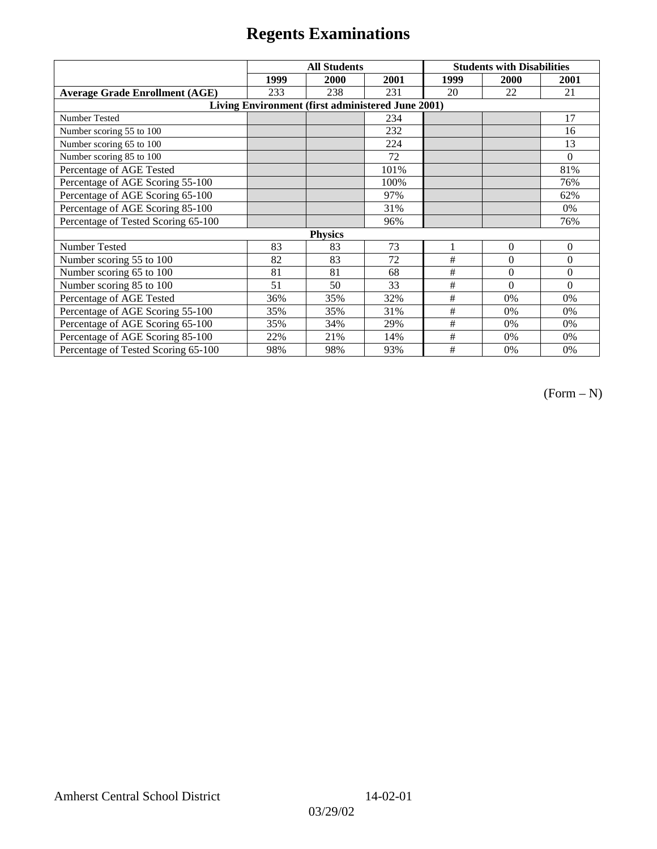|                                                   | <b>All Students</b> |      |      | <b>Students with Disabilities</b> |          |          |  |  |
|---------------------------------------------------|---------------------|------|------|-----------------------------------|----------|----------|--|--|
|                                                   | 1999                | 2000 | 2001 | 1999                              | 2000     | 2001     |  |  |
| <b>Average Grade Enrollment (AGE)</b>             | 233                 | 238  | 231  | 20                                | 22       | 21       |  |  |
| Living Environment (first administered June 2001) |                     |      |      |                                   |          |          |  |  |
| <b>Number Tested</b>                              |                     |      | 234  |                                   |          | 17       |  |  |
| Number scoring 55 to 100                          |                     |      | 232  |                                   |          | 16       |  |  |
| Number scoring 65 to 100                          |                     |      | 224  |                                   |          | 13       |  |  |
| Number scoring 85 to 100                          |                     |      | 72   |                                   |          | $\theta$ |  |  |
| Percentage of AGE Tested                          |                     |      | 101% |                                   |          | 81%      |  |  |
| Percentage of AGE Scoring 55-100                  |                     |      | 100% |                                   |          | 76%      |  |  |
| Percentage of AGE Scoring 65-100                  |                     |      | 97%  |                                   |          | 62%      |  |  |
| Percentage of AGE Scoring 85-100                  |                     |      | 31%  |                                   |          | 0%       |  |  |
| Percentage of Tested Scoring 65-100               |                     |      | 96%  |                                   |          | 76%      |  |  |
| <b>Physics</b>                                    |                     |      |      |                                   |          |          |  |  |
| Number Tested                                     | 83                  | 83   | 73   |                                   | $\Omega$ | $\theta$ |  |  |
| Number scoring 55 to 100                          | 82                  | 83   | 72   | #                                 | $\theta$ | $\theta$ |  |  |
| Number scoring 65 to 100                          | 81                  | 81   | 68   | #                                 | $\theta$ | $\theta$ |  |  |
| Number scoring 85 to 100                          | 51                  | 50   | 33   | #                                 | $\Omega$ | $\Omega$ |  |  |
| Percentage of AGE Tested                          | 36%                 | 35%  | 32%  | #                                 | 0%       | 0%       |  |  |
| Percentage of AGE Scoring 55-100                  | 35%                 | 35%  | 31%  | $\#$                              | 0%       | 0%       |  |  |
| Percentage of AGE Scoring 65-100                  | 35%                 | 34%  | 29%  | #                                 | $0\%$    | 0%       |  |  |
| Percentage of AGE Scoring 85-100                  | 22%                 | 21%  | 14%  | #                                 | 0%       | 0%       |  |  |
| Percentage of Tested Scoring 65-100               | 98%                 | 98%  | 93%  | #                                 | 0%       | 0%       |  |  |

 $(Form - N)$